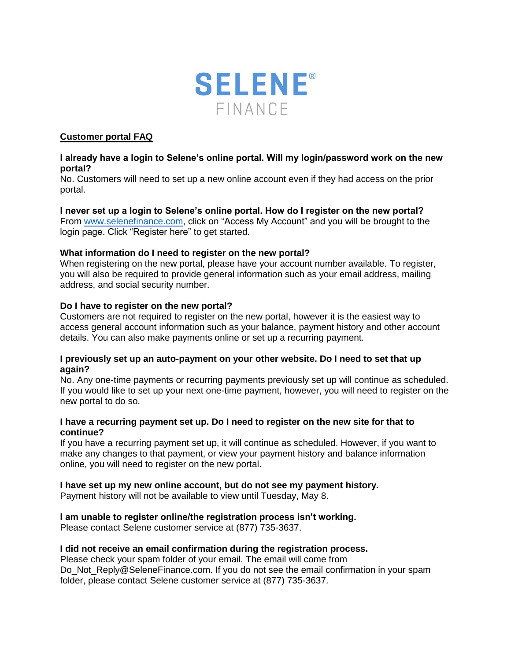

# **Customer portal FAQ**

## **I already have a login to Selene's online portal. Will my login/password work on the new portal?**

No. Customers will need to set up a new online account even if they had access on the prior portal.

### **I never set up a login to Selene's online portal. How do I register on the new portal?**  From [www.selenefinance.com,](http://www.selenefinance.com/) click on "Access My Account" and you will be brought to the login page. Click "Register here" to get started.

## **What information do I need to register on the new portal?**

When registering on the new portal, please have your account number available. To register, you will also be required to provide general information such as your email address, mailing address, and social security number.

#### **Do I have to register on the new portal?**

Customers are not required to register on the new portal, however it is the easiest way to access general account information such as your balance, payment history and other account details. You can also make payments online or set up a recurring payment.

#### **I previously set up an auto-payment on your other website. Do I need to set that up again?**

No. Any one-time payments or recurring payments previously set up will continue as scheduled. If you would like to set up your next one-time payment, however, you will need to register on the new portal to do so.

#### **I have a recurring payment set up. Do I need to register on the new site for that to continue?**

If you have a recurring payment set up, it will continue as scheduled. However, if you want to make any changes to that payment, or view your payment history and balance information online, you will need to register on the new portal.

# **I have set up my new online account, but do not see my payment history.**

Payment history will not be available to view until Tuesday, May 8.

# **I am unable to register online/the registration process isn't working.**

Please contact Selene customer service at (877) 735-3637.

#### **I did not receive an email confirmation during the registration process.**

Please check your spam folder of your email. The email will come from Do Not Reply@SeleneFinance.com. If you do not see the email confirmation in your spam folder, please contact Selene customer service at (877) 735-3637.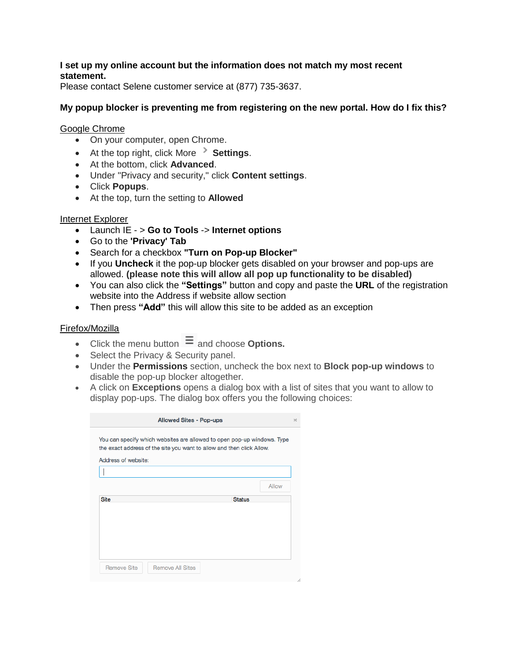# **I set up my online account but the information does not match my most recent statement.**

Please contact Selene customer service at (877) 735-3637.

# **My popup blocker is preventing me from registering on the new portal. How do I fix this?**

### Google Chrome

- On your computer, open Chrome.
- At the top right, click More **> Settings**.
- At the bottom, click **Advanced**.
- Under "Privacy and security," click **Content settings**.
- Click **Popups**.
- At the top, turn the setting to **Allowed**

# Internet Explorer

- Launch IE > **Go to Tools** -> **Internet options**
- Go to the **'Privacy' Tab**
- Search for a checkbox **"Turn on Pop-up Blocker"**
- If you **Uncheck** it the pop-up blocker gets disabled on your browser and pop-ups are allowed. **(please note this will allow all pop up functionality to be disabled)**
- You can also click the **"Settings"** button and copy and paste the **URL** of the registration website into the Address if website allow section
- Then press **"Add"** this will allow this site to be added as an exception

# Firefox/Mozilla

- Click the menu button  $\equiv$  and choose **Options.**
- Select the Privacy & Security panel.
- Under the **Permissions** section, uncheck the box next to **Block pop-up windows** to disable the pop-up blocker altogether.
- A click on **Exceptions** opens a dialog box with a list of sites that you want to allow to display pop-ups. The dialog box offers you the following choices:

|                     | You can specify which websites are allowed to open pop-up windows. Type<br>the exact address of the site you want to allow and then click Allow. |               |
|---------------------|--------------------------------------------------------------------------------------------------------------------------------------------------|---------------|
| Address of website: |                                                                                                                                                  |               |
|                     |                                                                                                                                                  |               |
|                     |                                                                                                                                                  | Allow         |
| <b>Site</b>         |                                                                                                                                                  | <b>Status</b> |
|                     |                                                                                                                                                  |               |
|                     |                                                                                                                                                  |               |
|                     |                                                                                                                                                  |               |
|                     |                                                                                                                                                  |               |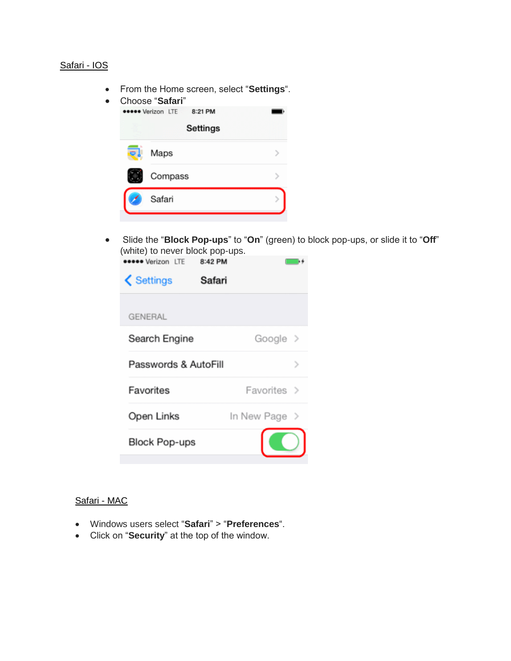# Safari - IOS

From the Home screen, select "**Settings**".

| Choose "Safari"                     |  |
|-------------------------------------|--|
| 8:21 PM<br><b>eeeee</b> Verizon LTE |  |
| <b>Settings</b>                     |  |
| Maps                                |  |
| Compass                             |  |
| Safari                              |  |
|                                     |  |

 Slide the "**Block Pop-ups**" to "**On**" (green) to block pop-ups, or slide it to "**Off**" (white) to never block pop-ups.

| <b>Neese Verizon LTE</b> | 8:42 PM |                           |   |
|--------------------------|---------|---------------------------|---|
| Settings                 | Safari  |                           |   |
| <b>GENERAL</b>           |         |                           |   |
| Search Engine            |         | Google >                  |   |
| Passwords & AutoFill     |         |                           | ⋗ |
| Favorites                |         | Favorites >               |   |
| Open Links               |         | In New Page $\rightarrow$ |   |
| <b>Block Pop-ups</b>     |         |                           |   |
|                          |         |                           |   |

# Safari - MAC

- Windows users select "**Safari**" > "**Preferences**".
- Click on "**Security**" at the top of the window.